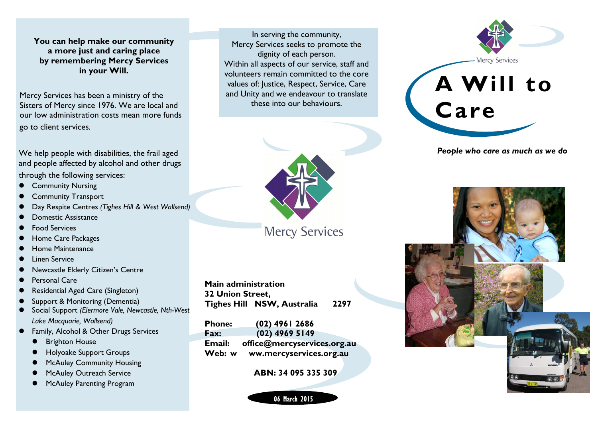**You can help make our community a more just and caring place by remembering Mercy Services in your Will.**

Mercy Services has been a ministry of the Sisters of Mercy since 1976. We are local and our low administration costs mean more funds go to client services.

We help people with disabilities, the frail aged and people affected by alcohol and other drugs through the following services:

- Community Nursing
- Community Transport
- Day Respite Centres *(Tighes Hill & West Wallsend)*
- Domestic Assistance
- Food Services
- Home Care Packages
- Home Maintenance
- Linen Service
- Newcastle Elderly Citizen's Centre
- Personal Care
- Residential Aged Care (Singleton)
- Support & Monitoring (Dementia)
- Social Support *(Elermore Vale, Newcastle, Nth-West Lake Macquarie, Wallsend)*
- Family, Alcohol & Other Drugs Services
	- Brighton House
	- Holyoake Support Groups
	- McAuley Community Housing
	- McAuley Outreach Service
	- McAuley Parenting Program

In serving the community, Mercy Services seeks to promote the dignity of each person. Within all aspects of our service, staff and volunteers remain committed to the core values of: Justice, Respect, Service, Care and Unity and we endeavour to translate these into our behaviours.



**Mercy Services** 

**Main administration 32 Union Street, Tighes Hill NSW, Australia 2297**

| <b>Phone:</b> | $(02)$ 4961 2686            |
|---------------|-----------------------------|
| Fax:          | $(02)$ 4969 5149            |
| <b>Email:</b> | office@mercyservices.org.au |
| Web: w        | ww.mercyservices.org.au     |

**ABN: 34 095 335 309**

06 March 2015



*People who care as much as we do*